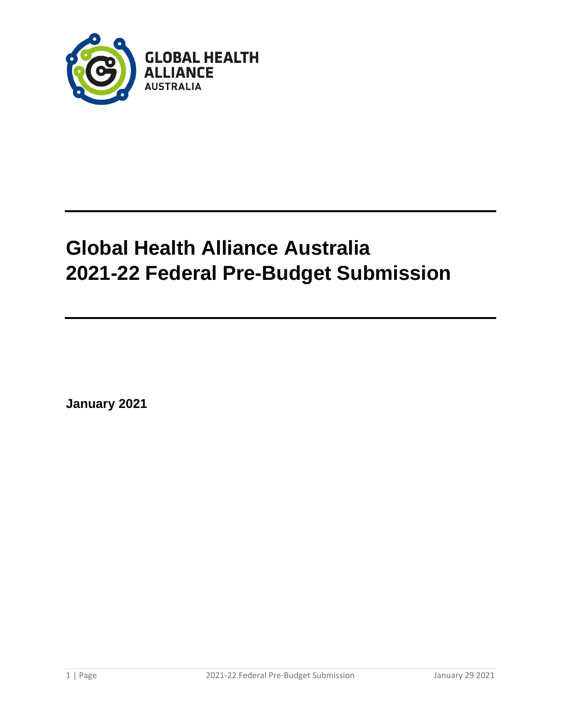

# **Global Health Alliance Australia 2021-22 Federal Pre-Budget Submission**

**January 2021**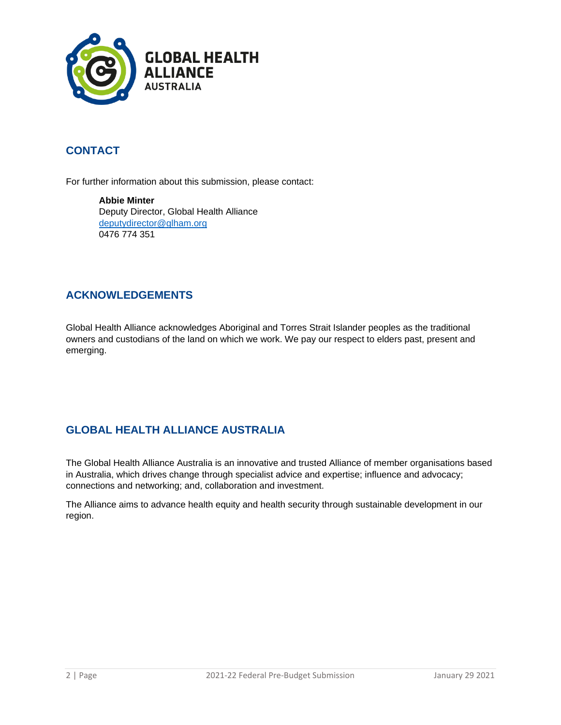

# **CONTACT**

For further information about this submission, please contact:

**Abbie Minter** Deputy Director, Global Health Alliance [deputydirector@glham.org](mailto:deputydirector@glham.org) 0476 774 351

#### **ACKNOWLEDGEMENTS**

Global Health Alliance acknowledges Aboriginal and Torres Strait Islander peoples as the traditional owners and custodians of the land on which we work. We pay our respect to elders past, present and emerging.

## **GLOBAL HEALTH ALLIANCE AUSTRALIA**

The Global Health Alliance Australia is an innovative and trusted Alliance of member organisations based in Australia, which drives change through specialist advice and expertise; influence and advocacy; connections and networking; and, collaboration and investment.

The Alliance aims to advance health equity and health security through sustainable development in our region.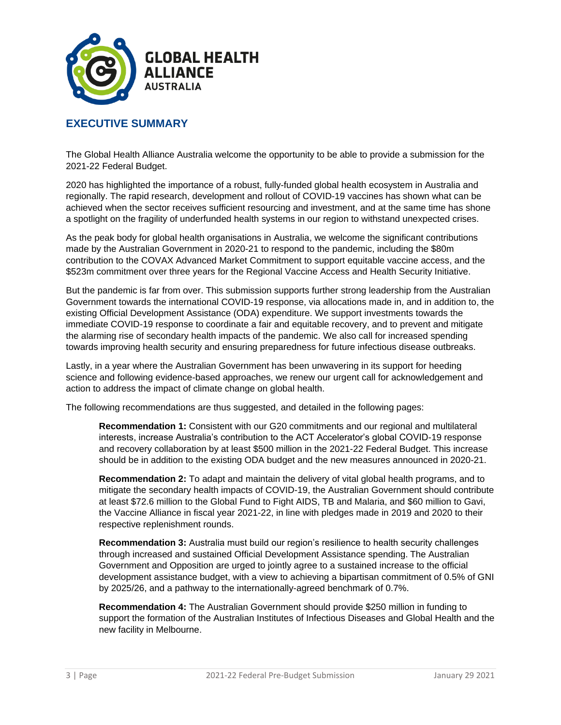

#### **EXECUTIVE SUMMARY**

The Global Health Alliance Australia welcome the opportunity to be able to provide a submission for the 2021-22 Federal Budget.

2020 has highlighted the importance of a robust, fully-funded global health ecosystem in Australia and regionally. The rapid research, development and rollout of COVID-19 vaccines has shown what can be achieved when the sector receives sufficient resourcing and investment, and at the same time has shone a spotlight on the fragility of underfunded health systems in our region to withstand unexpected crises.

As the peak body for global health organisations in Australia, we welcome the significant contributions made by the Australian Government in 2020-21 to respond to the pandemic, including the \$80m contribution to the COVAX Advanced Market Commitment to support equitable vaccine access, and the \$523m commitment over three years for the Regional Vaccine Access and Health Security Initiative.

But the pandemic is far from over. This submission supports further strong leadership from the Australian Government towards the international COVID-19 response, via allocations made in, and in addition to, the existing Official Development Assistance (ODA) expenditure. We support investments towards the immediate COVID-19 response to coordinate a fair and equitable recovery, and to prevent and mitigate the alarming rise of secondary health impacts of the pandemic. We also call for increased spending towards improving health security and ensuring preparedness for future infectious disease outbreaks.

Lastly, in a year where the Australian Government has been unwavering in its support for heeding science and following evidence-based approaches, we renew our urgent call for acknowledgement and action to address the impact of climate change on global health.

The following recommendations are thus suggested, and detailed in the following pages:

**Recommendation 1:** Consistent with our G20 commitments and our regional and multilateral interests, increase Australia's contribution to the ACT Accelerator's global COVID-19 response and recovery collaboration by at least \$500 million in the 2021-22 Federal Budget. This increase should be in addition to the existing ODA budget and the new measures announced in 2020-21.

**Recommendation 2:** To adapt and maintain the delivery of vital global health programs, and to mitigate the secondary health impacts of COVID-19, the Australian Government should contribute at least \$72.6 million to the Global Fund to Fight AIDS, TB and Malaria, and \$60 million to Gavi, the Vaccine Alliance in fiscal year 2021-22, in line with pledges made in 2019 and 2020 to their respective replenishment rounds.

**Recommendation 3:** Australia must build our region's resilience to health security challenges through increased and sustained Official Development Assistance spending. The Australian Government and Opposition are urged to jointly agree to a sustained increase to the official development assistance budget, with a view to achieving a bipartisan commitment of 0.5% of GNI by 2025/26, and a pathway to the internationally-agreed benchmark of 0.7%.

**Recommendation 4:** The Australian Government should provide \$250 million in funding to support the formation of the Australian Institutes of Infectious Diseases and Global Health and the new facility in Melbourne.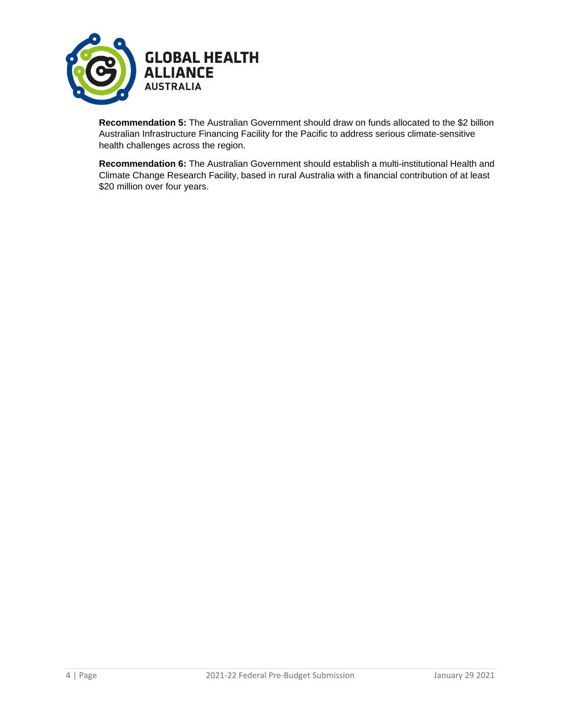

**Recommendation 5:** The Australian Government should draw on funds allocated to the \$2 billion Australian Infrastructure Financing Facility for the Pacific to address serious climate-sensitive health challenges across the region.

**Recommendation 6:** The Australian Government should establish a multi-institutional Health and Climate Change Research Facility, based in rural Australia with a financial contribution of at least \$20 million over four years.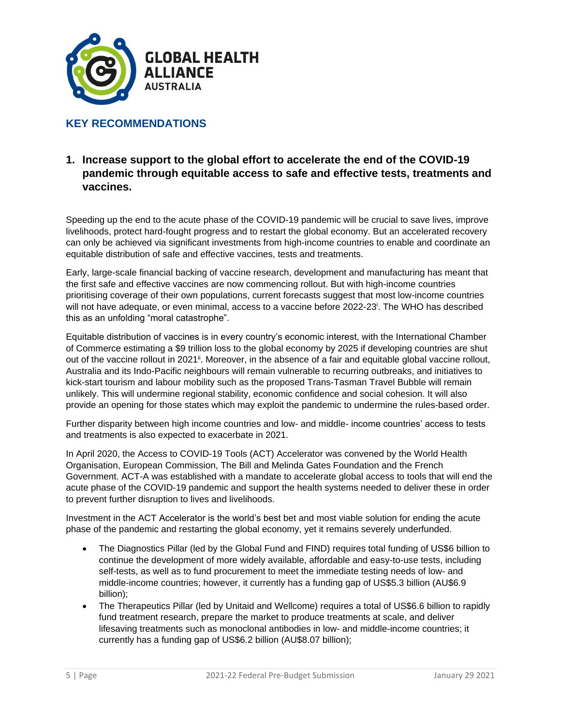

#### **KEY RECOMMENDATIONS**

#### **1. Increase support to the global effort to accelerate the end of the COVID-19 pandemic through equitable access to safe and effective tests, treatments and vaccines.**

Speeding up the end to the acute phase of the COVID-19 pandemic will be crucial to save lives, improve livelihoods, protect hard-fought progress and to restart the global economy. But an accelerated recovery can only be achieved via significant investments from high-income countries to enable and coordinate an equitable distribution of safe and effective vaccines, tests and treatments.

Early, large-scale financial backing of vaccine research, development and manufacturing has meant that the first safe and effective vaccines are now commencing rollout. But with high-income countries prioritising coverage of their own populations, current forecasts suggest that most low-income countries will not have adequate, or even minimal, access to a vaccine before 2022-23<sup>i</sup>. The WHO has described this as an unfolding "moral catastrophe".

Equitable distribution of vaccines is in every country's economic interest, with the International Chamber of Commerce estimating a \$9 trillion loss to the global economy by 2025 if developing countries are shut out of the vaccine rollout in 2021<sup>ii</sup>. Moreover, in the absence of a fair and equitable global vaccine rollout, Australia and its Indo-Pacific neighbours will remain vulnerable to recurring outbreaks, and initiatives to kick-start tourism and labour mobility such as the proposed Trans-Tasman Travel Bubble will remain unlikely. This will undermine regional stability, economic confidence and social cohesion. It will also provide an opening for those states which may exploit the pandemic to undermine the rules-based order.

Further disparity between high income countries and low- and middle- income countries' access to tests and treatments is also expected to exacerbate in 2021.

In April 2020, the Access to COVID-19 Tools (ACT) Accelerator was convened by the World Health Organisation, European Commission, The Bill and Melinda Gates Foundation and the French Government. ACT-A was established with a mandate to accelerate global access to tools that will end the acute phase of the COVID-19 pandemic and support the health systems needed to deliver these in order to prevent further disruption to lives and livelihoods.

Investment in the ACT Accelerator is the world's best bet and most viable solution for ending the acute phase of the pandemic and restarting the global economy, yet it remains severely underfunded.

- The Diagnostics Pillar (led by the Global Fund and FIND) requires total funding of US\$6 billion to continue the development of more widely available, affordable and easy-to-use tests, including self-tests, as well as to fund procurement to meet the immediate testing needs of low- and middle-income countries; however, it currently has a funding gap of US\$5.3 billion (AU\$6.9 billion);
- The Therapeutics Pillar (led by Unitaid and Wellcome) requires a total of US\$6.6 billion to rapidly fund treatment research, prepare the market to produce treatments at scale, and deliver lifesaving treatments such as monoclonal antibodies in low- and middle-income countries; it currently has a funding gap of US\$6.2 billion (AU\$8.07 billion);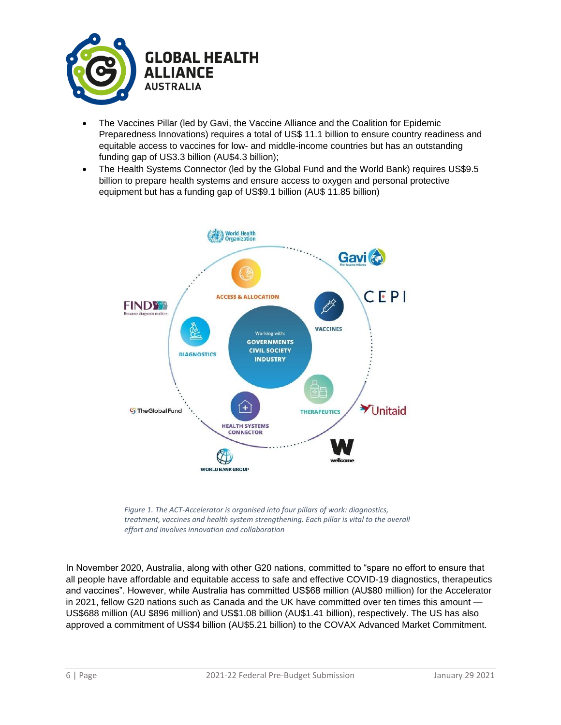

- The Vaccines Pillar (led by Gavi, the Vaccine Alliance and the Coalition for Epidemic Preparedness Innovations) requires a total of US\$ 11.1 billion to ensure country readiness and equitable access to vaccines for low- and middle-income countries but has an outstanding funding gap of US3.3 billion (AU\$4.3 billion);
- The Health Systems Connector (led by the Global Fund and the World Bank) requires US\$9.5 billion to prepare health systems and ensure access to oxygen and personal protective equipment but has a funding gap of US\$9.1 billion (AU\$ 11.85 billion)



*Figure 1. The ACT-Accelerator is organised into four pillars of work: diagnostics, treatment, vaccines and health system strengthening. Each pillar is vital to the overall effort and involves innovation and collaboration*

In November 2020, Australia, along with other G20 nations, committed to "spare no effort to ensure that all people have affordable and equitable access to safe and effective COVID-19 diagnostics, therapeutics and vaccines". However, while Australia has committed US\$68 million (AU\$80 million) for the Accelerator in 2021, fellow G20 nations such as Canada and the UK have committed over ten times this amount — US\$688 million (AU \$896 million) and US\$1.08 billion (AU\$1.41 billion), respectively. The US has also approved a commitment of US\$4 billion (AU\$5.21 billion) to the COVAX Advanced Market Commitment.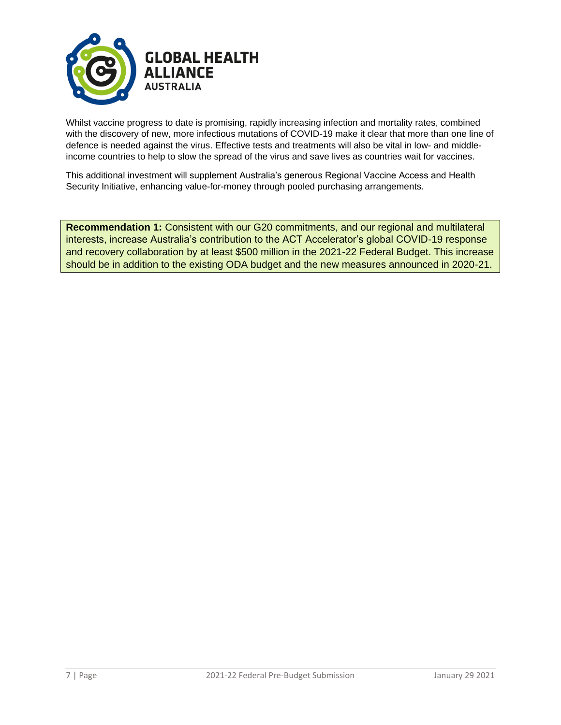

Whilst vaccine progress to date is promising, rapidly increasing infection and mortality rates, combined with the discovery of new, more infectious mutations of COVID-19 make it clear that more than one line of defence is needed against the virus. Effective tests and treatments will also be vital in low- and middleincome countries to help to slow the spread of the virus and save lives as countries wait for vaccines.

This additional investment will supplement Australia's generous Regional Vaccine Access and Health Security Initiative, enhancing value-for-money through pooled purchasing arrangements.

**Recommendation 1:** Consistent with our G20 commitments, and our regional and multilateral interests, increase Australia's contribution to the ACT Accelerator's global COVID-19 response and recovery collaboration by at least \$500 million in the 2021-22 Federal Budget. This increase should be in addition to the existing ODA budget and the new measures announced in 2020-21.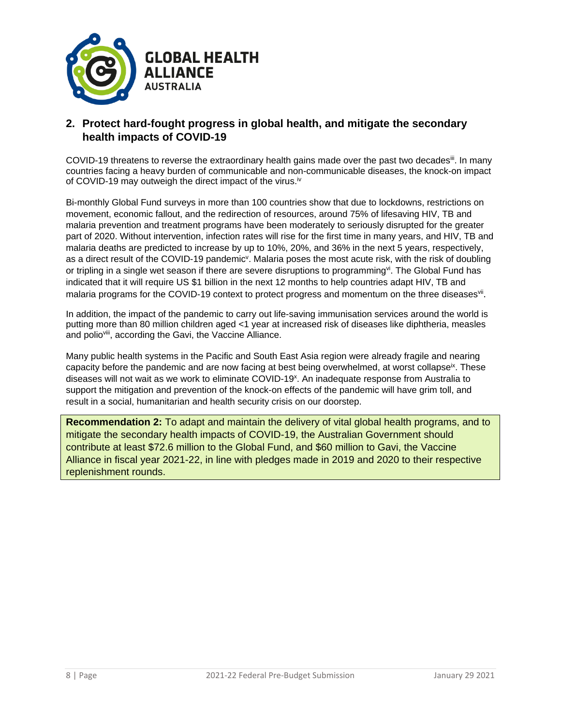

#### **2. Protect hard-fought progress in global health, and mitigate the secondary health impacts of COVID-19**

COVID-19 threatens to reverse the extraordinary health gains made over the past two decades<sup>iii</sup>. In many countries facing a heavy burden of communicable and non-communicable diseases, the knock-on impact of COVID-19 may outweigh the direct impact of the virus.<sup>iv</sup>

Bi-monthly Global Fund surveys in more than 100 countries show that due to lockdowns, restrictions on movement, economic fallout, and the redirection of resources, around 75% of lifesaving HIV, TB and malaria prevention and treatment programs have been moderately to seriously disrupted for the greater part of 2020. Without intervention, infection rates will rise for the first time in many years, and HIV, TB and malaria deaths are predicted to increase by up to 10%, 20%, and 36% in the next 5 years, respectively, as a direct result of the COVID-19 pandemic<sup>y</sup>. Malaria poses the most acute risk, with the risk of doubling or tripling in a single wet season if there are severe disruptions to programming". The Global Fund has indicated that it will require US \$1 billion in the next 12 months to help countries adapt HIV, TB and malaria programs for the COVID-19 context to protect progress and momentum on the three diseasesvil.

In addition, the impact of the pandemic to carry out life-saving immunisation services around the world is putting more than 80 million children aged <1 year at increased risk of diseases like diphtheria, measles and polioviii, according the Gavi, the Vaccine Alliance.

Many public health systems in the Pacific and South East Asia region were already fragile and nearing capacity before the pandemic and are now facing at best being overwhelmed, at worst collapse<sup>ix</sup>. These diseases will not wait as we work to eliminate COVID-19<sup>x</sup>. An inadequate response from Australia to support the mitigation and prevention of the knock-on effects of the pandemic will have grim toll, and result in a social, humanitarian and health security crisis on our doorstep.

**Recommendation 2:** To adapt and maintain the delivery of vital global health programs, and to mitigate the secondary health impacts of COVID-19, the Australian Government should contribute at least \$72.6 million to the Global Fund, and \$60 million to Gavi, the Vaccine Alliance in fiscal year 2021-22, in line with pledges made in 2019 and 2020 to their respective replenishment rounds.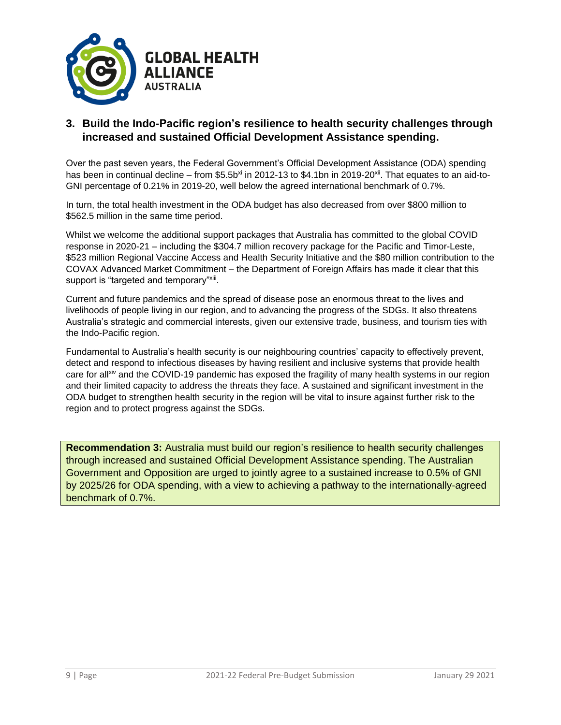

#### **3. Build the Indo-Pacific region's resilience to health security challenges through increased and sustained Official Development Assistance spending.**

Over the past seven years, the Federal Government's Official Development Assistance (ODA) spending has been in continual decline – from \$5.5b<sup>xi</sup> in 2012-13 to \$4.1bn in 2019-20<sup>xii</sup>. That equates to an aid-to-GNI percentage of 0.21% in 2019-20, well below the agreed international benchmark of 0.7%.

In turn, the total health investment in the ODA budget has also decreased from over \$800 million to \$562.5 million in the same time period.

Whilst we welcome the additional support packages that Australia has committed to the global COVID response in 2020-21 – including the \$304.7 million recovery package for the Pacific and Timor-Leste, \$523 million Regional Vaccine Access and Health Security Initiative and the \$80 million contribution to the COVAX Advanced Market Commitment – the Department of Foreign Affairs has made it clear that this support is "targeted and temporary"<sup>xiii</sup>.

Current and future pandemics and the spread of disease pose an enormous threat to the lives and livelihoods of people living in our region, and to advancing the progress of the SDGs. It also threatens Australia's strategic and commercial interests, given our extensive trade, business, and tourism ties with the Indo-Pacific region.

Fundamental to Australia's health security is our neighbouring countries' capacity to effectively prevent, detect and respond to infectious diseases by having resilient and inclusive systems that provide health care for allxiv and the COVID-19 pandemic has exposed the fragility of many health systems in our region and their limited capacity to address the threats they face. A sustained and significant investment in the ODA budget to strengthen health security in the region will be vital to insure against further risk to the region and to protect progress against the SDGs.

**Recommendation 3:** Australia must build our region's resilience to health security challenges through increased and sustained Official Development Assistance spending. The Australian Government and Opposition are urged to jointly agree to a sustained increase to 0.5% of GNI by 2025/26 for ODA spending, with a view to achieving a pathway to the internationally-agreed benchmark of 0.7%.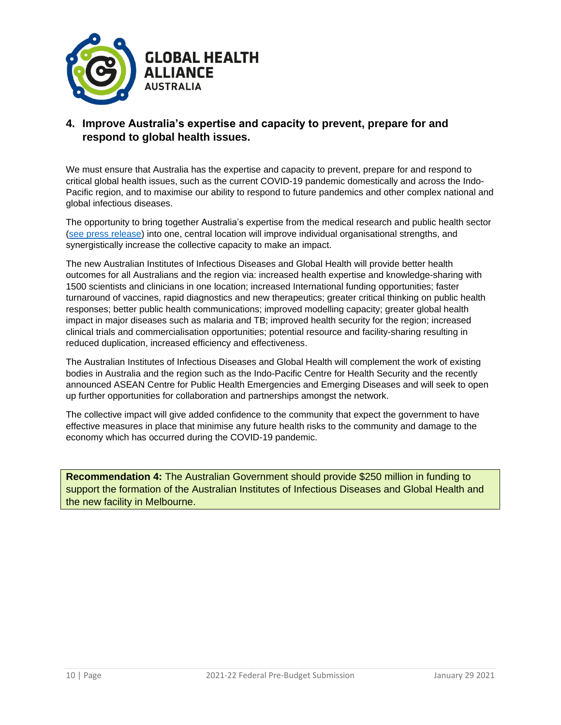

#### **4. Improve Australia's expertise and capacity to prevent, prepare for and respond to global health issues.**

We must ensure that Australia has the expertise and capacity to prevent, prepare for and respond to critical global health issues, such as the current COVID-19 pandemic domestically and across the Indo-Pacific region, and to maximise our ability to respond to future pandemics and other complex national and global infectious diseases.

The opportunity to bring together Australia's expertise from the medical research and public health sector [\(see press release\)](https://about.unimelb.edu.au/newsroom/news/2020/november/australia-to-get-new-hub-for-infectious-diseases-and-global-health) into one, central location will improve individual organisational strengths, and synergistically increase the collective capacity to make an impact.

The new Australian Institutes of Infectious Diseases and Global Health will provide better health outcomes for all Australians and the region via: increased health expertise and knowledge-sharing with 1500 scientists and clinicians in one location; increased International funding opportunities; faster turnaround of vaccines, rapid diagnostics and new therapeutics; greater critical thinking on public health responses; better public health communications; improved modelling capacity; greater global health impact in major diseases such as malaria and TB; improved health security for the region; increased clinical trials and commercialisation opportunities; potential resource and facility-sharing resulting in reduced duplication, increased efficiency and effectiveness.

The Australian Institutes of Infectious Diseases and Global Health will complement the work of existing bodies in Australia and the region such as the Indo-Pacific Centre for Health Security and the recently announced ASEAN Centre for Public Health Emergencies and Emerging Diseases and will seek to open up further opportunities for collaboration and partnerships amongst the network.

The collective impact will give added confidence to the community that expect the government to have effective measures in place that minimise any future health risks to the community and damage to the economy which has occurred during the COVID-19 pandemic.

**Recommendation 4:** The Australian Government should provide \$250 million in funding to support the formation of the Australian Institutes of Infectious Diseases and Global Health and the new facility in Melbourne.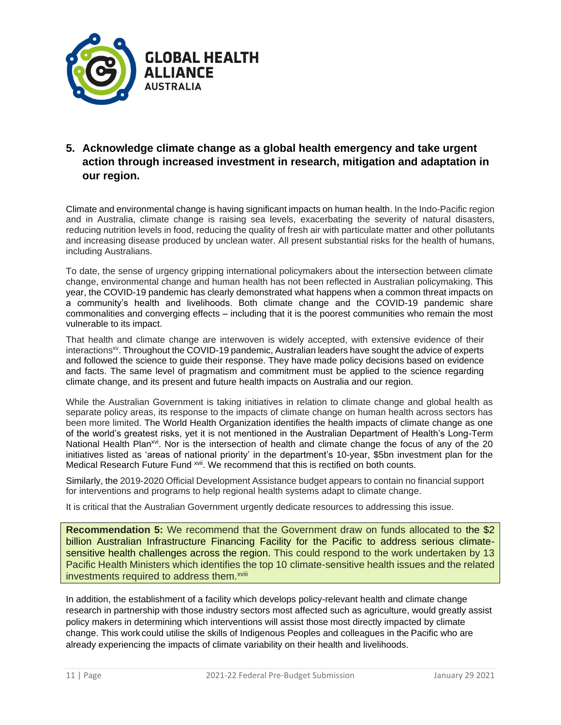

## **5. Acknowledge climate change as a global health emergency and take urgent action through increased investment in research, mitigation and adaptation in our region.**

Climate and environmental change is having significant impacts on human health. In the Indo-Pacific region and in Australia, climate change is raising sea levels, exacerbating the severity of natural disasters, reducing nutrition levels in food, reducing the quality of fresh air with particulate matter and other pollutants and increasing disease produced by unclean water. All present substantial risks for the health of humans, including Australians.

To date, the sense of urgency gripping international policymakers about the intersection between climate change, environmental change and human health has not been reflected in Australian policymaking. This year, the COVID-19 pandemic has clearly demonstrated what happens when a common threat impacts on a community's health and livelihoods. Both climate change and the COVID-19 pandemic share commonalities and converging effects – including that it is the poorest communities who remain the most vulnerable to its impact.

That health and climate change are interwoven is widely accepted, with extensive evidence of their interactions<sup>xv</sup>. Throughout the COVID-19 pandemic, Australian leaders have sought the advice of experts and followed the science to guide their response. They have made policy decisions based on evidence and facts. The same level of pragmatism and commitment must be applied to the science regarding climate change, and its present and future health impacts on Australia and our region.

While the Australian Government is taking initiatives in relation to climate change and global health as separate policy areas, its response to the impacts of climate change on human health across sectors has been more limited. The World Health Organization identifies the health impacts of climate change as one of the world's greatest risks, yet it is not mentioned in the Australian Department of Health's Long-Term National Health Plan<sup>xvi</sup>. Nor is the intersection of health and climate change the focus of any of the 20 initiatives listed as 'areas of national priority' in the department's 10-year, \$5bn investment plan for the Medical Research Future Fund <sup>xvii</sup>. We recommend that this is rectified on both counts.

Similarly, the 2019-2020 Official Development Assistance budget appears to contain no financial support for interventions and programs to help regional health systems adapt to climate change.

It is critical that the Australian Government urgently dedicate resources to addressing this issue.

**Recommendation 5:** We recommend that the Government draw on funds allocated to the \$2 billion Australian Infrastructure Financing Facility for the Pacific to address serious climatesensitive health challenges across the region. This could respond to the work undertaken by 13 Pacific Health Ministers which identifies the top 10 climate-sensitive health issues and the related investments required to address them.<sup>xviii</sup>

In addition, the establishment of a facility which develops policy-relevant health and climate change research in partnership with those industry sectors most affected such as agriculture, would greatly assist policy makers in determining which interventions will assist those most directly impacted by climate change. This work could utilise the skills of Indigenous Peoples and colleagues in the Pacific who are already experiencing the impacts of climate variability on their health and livelihoods.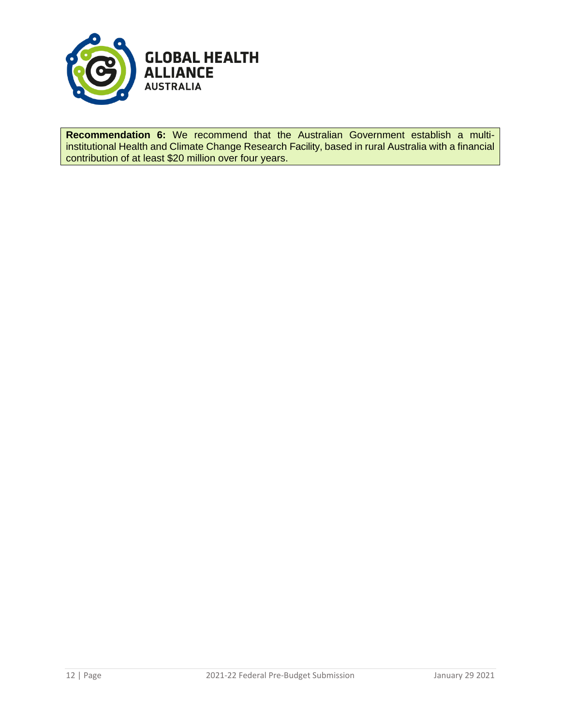

**Recommendation 6:** We recommend that the Australian Government establish a multiinstitutional Health and Climate Change Research Facility, based in rural Australia with a financial contribution of at least \$20 million over four years.